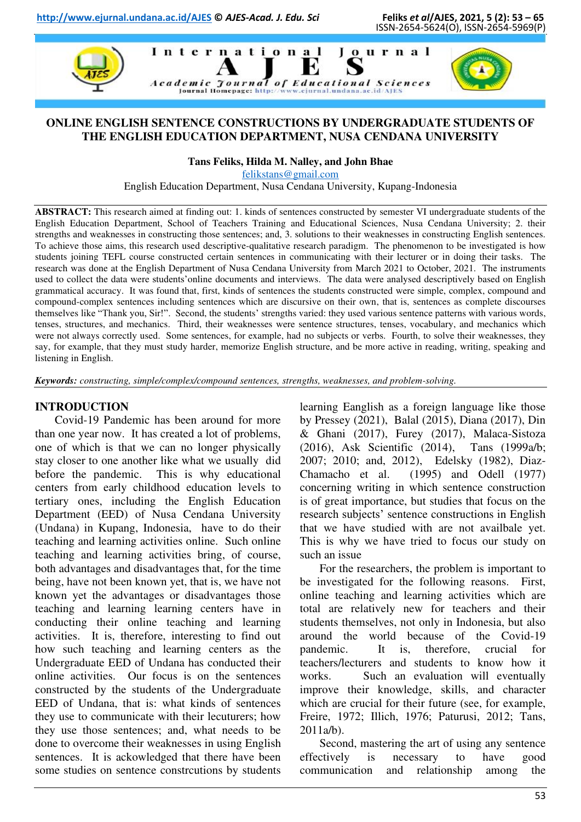

### **ONLINE ENGLISH SENTENCE CONSTRUCTIONS BY UNDERGRADUATE STUDENTS OF THE ENGLISH EDUCATION DEPARTMENT, NUSA CENDANA UNIVERSITY**

**Tans Feliks, Hilda M. Nalley, and John Bhae** 

[felikstans@gmail.com](mailto:felikstans@gmail.com) 

English Education Department, Nusa Cendana University, Kupang-Indonesia

**ABSTRACT:** This research aimed at finding out: 1. kinds of sentences constructed by semester VI undergraduate students of the English Education Department, School of Teachers Training and Educational Sciences, Nusa Cendana University; 2. their strengths and weaknesses in constructing those sentences; and, 3. solutions to their weaknesses in constructing English sentences. To achieve those aims, this research used descriptive-qualitative research paradigm. The phenomenon to be investigated is how students joining TEFL course constructed certain sentences in communicating with their lecturer or in doing their tasks. The research was done at the English Department of Nusa Cendana University from March 2021 to October, 2021. The instruments used to collect the data were students'online documents and interviews. The data were analysed descriptively based on English grammatical accuracy. It was found that, first, kinds of sentences the students constructed were simple, complex, compound and compound-complex sentences including sentences which are discursive on their own, that is, sentences as complete discourses themselves like "Thank you, Sir!". Second, the students' strengths varied: they used various sentence patterns with various words, tenses, structures, and mechanics. Third, their weaknesses were sentence structures, tenses, vocabulary, and mechanics which were not always correctly used. Some sentences, for example, had no subjects or verbs. Fourth, to solve their weaknesses, they say, for example, that they must study harder, memorize English structure, and be more active in reading, writing, speaking and listening in English.

*Keywords: constructing, simple/complex/compound sentences, strengths, weaknesses, and problem-solving.* 

#### **INTRODUCTION**

Covid-19 Pandemic has been around for more than one year now. It has created a lot of problems, one of which is that we can no longer physically stay closer to one another like what we usually did before the pandemic. This is why educational centers from early childhood education levels to tertiary ones, including the English Education Department (EED) of Nusa Cendana University (Undana) in Kupang, Indonesia, have to do their teaching and learning activities online. Such online teaching and learning activities bring, of course, both advantages and disadvantages that, for the time being, have not been known yet, that is, we have not known yet the advantages or disadvantages those teaching and learning learning centers have in conducting their online teaching and learning activities. It is, therefore, interesting to find out how such teaching and learning centers as the Undergraduate EED of Undana has conducted their online activities. Our focus is on the sentences constructed by the students of the Undergraduate EED of Undana, that is: what kinds of sentences they use to communicate with their lecuturers; how they use those sentences; and, what needs to be done to overcome their weaknesses in using English sentences. It is ackowledged that there have been some studies on sentence constrcutions by students

learning Eanglish as a foreign language like those by Pressey (2021), Balal (2015), Diana (2017), Din & Ghani (2017), Furey (2017), Malaca-Sistoza (2016), Ask Scientific (2014), Tans (1999a/b; 2007; 2010; and, 2012), Edelsky (1982), Diaz-Chamacho et al. (1995) and Odell (1977) concerning writing in which sentence construction is of great importance, but studies that focus on the research subjects' sentence constructions in English that we have studied with are not availbale yet. This is why we have tried to focus our study on such an issue

For the researchers, the problem is important to be investigated for the following reasons. First, online teaching and learning activities which are total are relatively new for teachers and their students themselves, not only in Indonesia, but also around the world because of the Covid-19 pandemic. It is, therefore, crucial for teachers/lecturers and students to know how it works. Such an evaluation will eventually improve their knowledge, skills, and character which are crucial for their future (see, for example, Freire, 1972; Illich, 1976; Paturusi, 2012; Tans, 2011a/b).

Second, mastering the art of using any sentence effectively is necessary to have good communication and relationship among the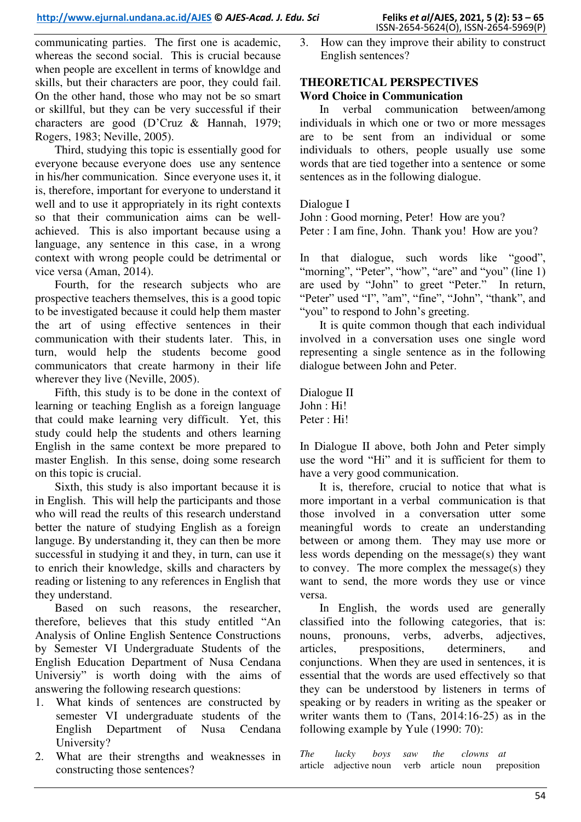communicating parties. The first one is academic, whereas the second social. This is crucial because when people are excellent in terms of knowldge and skills, but their characters are poor, they could fail. On the other hand, those who may not be so smart or skillful, but they can be very successful if their characters are good (D'Cruz & Hannah, 1979; Rogers, 1983; Neville, 2005).

Third, studying this topic is essentially good for everyone because everyone does use any sentence in his/her communication. Since everyone uses it, it is, therefore, important for everyone to understand it well and to use it appropriately in its right contexts so that their communication aims can be wellachieved. This is also important because using a language, any sentence in this case, in a wrong context with wrong people could be detrimental or vice versa (Aman, 2014).

Fourth, for the research subjects who are prospective teachers themselves, this is a good topic to be investigated because it could help them master the art of using effective sentences in their communication with their students later. This, in turn, would help the students become good communicators that create harmony in their life wherever they live (Neville, 2005).

Fifth, this study is to be done in the context of learning or teaching English as a foreign language that could make learning very difficult. Yet, this study could help the students and others learning English in the same context be more prepared to master English. In this sense, doing some research on this topic is crucial.

Sixth, this study is also important because it is in English. This will help the participants and those who will read the reults of this research understand better the nature of studying English as a foreign languge. By understanding it, they can then be more successful in studying it and they, in turn, can use it to enrich their knowledge, skills and characters by reading or listening to any references in English that they understand.

Based on such reasons, the researcher, therefore, believes that this study entitled "An Analysis of Online English Sentence Constructions by Semester VI Undergraduate Students of the English Education Department of Nusa Cendana Universiy" is worth doing with the aims of answering the following research questions:

- 1. What kinds of sentences are constructed by semester VI undergraduate students of the English Department of Nusa Cendana University?
- 2. What are their strengths and weaknesses in constructing those sentences?

3. How can they improve their ability to construct English sentences?

# **THEORETICAL PERSPECTIVES Word Choice in Communication**

In verbal communication between/among individuals in which one or two or more messages are to be sent from an individual or some individuals to others, people usually use some words that are tied together into a sentence or some sentences as in the following dialogue.

### Dialogue I

John : Good morning, Peter! How are you? Peter : I am fine, John. Thank you! How are you?

In that dialogue, such words like "good", "morning", "Peter", "how", "are" and "you" (line 1) are used by "John" to greet "Peter." In return, "Peter" used "I", "am", "fine", "John", "thank", and "you" to respond to John's greeting.

It is quite common though that each individual involved in a conversation uses one single word representing a single sentence as in the following dialogue between John and Peter.

Dialogue II John : Hi! Peter : Hi!

In Dialogue II above, both John and Peter simply use the word "Hi" and it is sufficient for them to have a very good communication.

It is, therefore, crucial to notice that what is more important in a verbal communication is that those involved in a conversation utter some meaningful words to create an understanding between or among them. They may use more or less words depending on the message(s) they want to convey. The more complex the message(s) they want to send, the more words they use or vince versa.

In English, the words used are generally classified into the following categories, that is: nouns, pronouns, verbs, adverbs, adjectives, articles, prespositions, determiners, and conjunctions. When they are used in sentences, it is essential that the words are used effectively so that they can be understood by listeners in terms of speaking or by readers in writing as the speaker or writer wants them to (Tans, 2014:16-25) as in the following example by Yule (1990: 70):

*The lucky boys saw the clowns at*  article adjective noun verb article noun preposition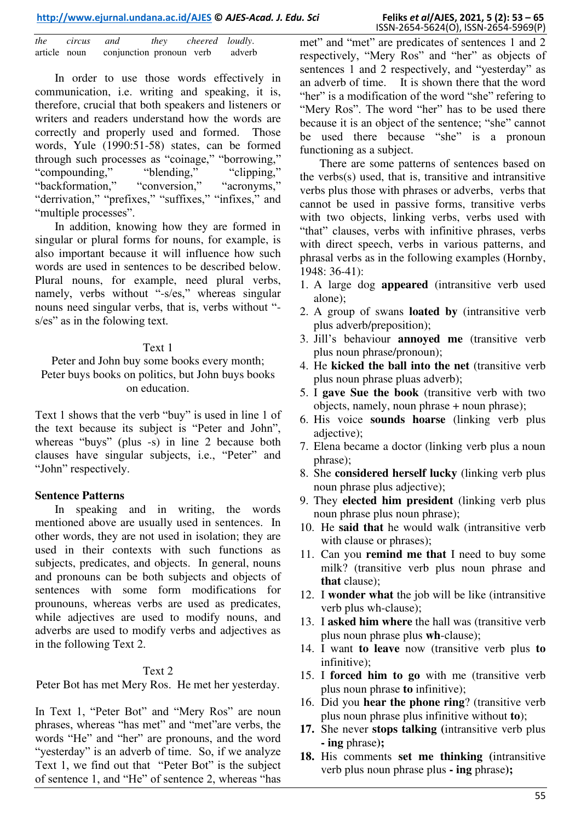| the          | circus and |                          | they | cheered loudly. |        |
|--------------|------------|--------------------------|------|-----------------|--------|
| article noun |            | conjunction pronoun verb |      |                 | adverb |

In order to use those words effectively in communication, i.e. writing and speaking, it is, therefore, crucial that both speakers and listeners or writers and readers understand how the words are correctly and properly used and formed. Those words, Yule (1990:51-58) states, can be formed through such processes as "coinage," "borrowing,"<br>"compounding," "blending," "clipping." "compounding," "blending," "clipping,"<br>"backformation," "conversion," "acronyms," "backformation," "conversion," "acronyms," "derrivation," "prefixes," "suffixes," "infixes," and "multiple processes".

In addition, knowing how they are formed in singular or plural forms for nouns, for example, is also important because it will influence how such words are used in sentences to be described below. Plural nouns, for example, need plural verbs, namely, verbs without "-s/es," whereas singular nouns need singular verbs, that is, verbs without " s/es" as in the folowing text.

#### Text 1

Peter and John buy some books every month; Peter buys books on politics, but John buys books on education.

Text 1 shows that the verb "buy" is used in line 1 of the text because its subject is "Peter and John", whereas "buys" (plus -s) in line 2 because both clauses have singular subjects, i.e., "Peter" and "John" respectively.

#### **Sentence Patterns**

In speaking and in writing, the words mentioned above are usually used in sentences. In other words, they are not used in isolation; they are used in their contexts with such functions as subjects, predicates, and objects. In general, nouns and pronouns can be both subjects and objects of sentences with some form modifications for prounouns, whereas verbs are used as predicates, while adjectives are used to modify nouns, and adverbs are used to modify verbs and adjectives as in the following Text 2.

#### Text 2

Peter Bot has met Mery Ros. He met her yesterday.

In Text 1, "Peter Bot" and "Mery Ros" are noun phrases, whereas "has met" and "met"are verbs, the words "He" and "her" are pronouns, and the word "yesterday" is an adverb of time. So, if we analyze Text 1, we find out that "Peter Bot" is the subject of sentence 1, and "He" of sentence 2, whereas "has

There are some patterns of sentences based on the verbs(s) used, that is, transitive and intransitive verbs plus those with phrases or adverbs, verbs that cannot be used in passive forms, transitive verbs with two objects, linking verbs, verbs used with "that" clauses, verbs with infinitive phrases, verbs with direct speech, verbs in various patterns, and phrasal verbs as in the following examples (Hornby, 1948: 36-41):

- 1. A large dog **appeared** (intransitive verb used alone);
- 2. A group of swans **loated by** (intransitive verb plus adverb/preposition);
- 3. Jill's behaviour **annoyed me** (transitive verb plus noun phrase/pronoun);
- 4. He **kicked the ball into the net** (transitive verb plus noun phrase pluas adverb);
- 5. I **gave Sue the book** (transitive verb with two objects, namely, noun phrase + noun phrase);
- 6. His voice **sounds hoarse** (linking verb plus adiective):
- 7. Elena became a doctor (linking verb plus a noun phrase);
- 8. She **considered herself lucky** (linking verb plus noun phrase plus adjective):
- 9. They **elected him president** (linking verb plus noun phrase plus noun phrase);
- 10. He **said that** he would walk (intransitive verb with clause or phrases);
- 11. Can you **remind me that** I need to buy some milk? (transitive verb plus noun phrase and **that** clause);
- 12. I **wonder what** the job will be like (intransitive verb plus wh-clause);
- 13. I **asked him where** the hall was (transitive verb plus noun phrase plus **wh**-clause);
- 14. I want **to leave** now (transitive verb plus **to**  infinitive);
- 15. I **forced him to go** with me (transitive verb plus noun phrase **to** infinitive);
- 16. Did you **hear the phone ring**? (transitive verb plus noun phrase plus infinitive without **to**);
- **17.** She never **stops talking (**intransitive verb plus **- ing** phrase**);**
- **18.** His comments **set me thinking (**intransitive verb plus noun phrase plus **- ing** phrase**);**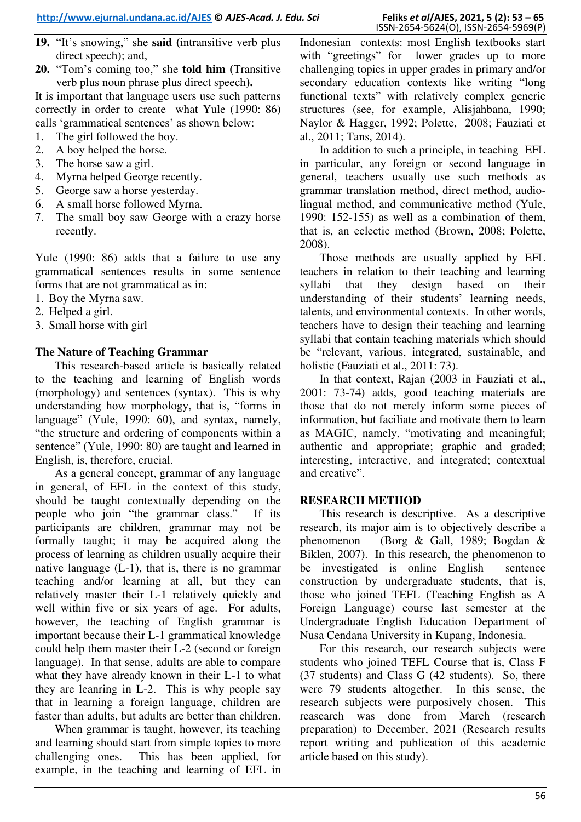- **19.** "It's snowing," she **said (**intransitive verb plus direct speech); and,
- **20.** "Tom's coming too," she **told him (**Transitive verb plus noun phrase plus direct speech**).**

It is important that language users use such patterns correctly in order to create what Yule (1990: 86) calls 'grammatical sentences' as shown below:

- 1. The girl followed the boy.
- 2. A boy helped the horse.
- 3. The horse saw a girl.
- 4. Myrna helped George recently.
- 5. George saw a horse yesterday.
- 6. A small horse followed Myrna.
- 7. The small boy saw George with a crazy horse recently.

Yule (1990: 86) adds that a failure to use any grammatical sentences results in some sentence forms that are not grammatical as in:

- 1. Boy the Myrna saw.
- 2. Helped a girl.
- 3. Small horse with girl

# **The Nature of Teaching Grammar**

This research-based article is basically related to the teaching and learning of English words (morphology) and sentences (syntax). This is why understanding how morphology, that is, "forms in language" (Yule, 1990: 60), and syntax, namely, "the structure and ordering of components within a sentence" (Yule, 1990: 80) are taught and learned in English, is, therefore, crucial.

As a general concept, grammar of any language in general, of EFL in the context of this study, should be taught contextually depending on the people who join "the grammar class." If its participants are children, grammar may not be formally taught; it may be acquired along the process of learning as children usually acquire their native language (L-1), that is, there is no grammar teaching and/or learning at all, but they can relatively master their L-1 relatively quickly and well within five or six years of age. For adults, however, the teaching of English grammar is important because their L-1 grammatical knowledge could help them master their L-2 (second or foreign language). In that sense, adults are able to compare what they have already known in their L-1 to what they are leanring in L-2. This is why people say that in learning a foreign language, children are faster than adults, but adults are better than children.

When grammar is taught, however, its teaching and learning should start from simple topics to more challenging ones. This has been applied, for example, in the teaching and learning of EFL in

Indonesian contexts: most English textbooks start with "greetings" for lower grades up to more challenging topics in upper grades in primary and/or secondary education contexts like writing "long functional texts" with relatively complex generic structures (see, for example, Alisjahbana, 1990; Naylor & Hagger, 1992; Polette, 2008; Fauziati et al., 2011; Tans, 2014).

In addition to such a principle, in teaching EFL in particular, any foreign or second language in general, teachers usually use such methods as grammar translation method, direct method, audiolingual method, and communicative method (Yule, 1990: 152-155) as well as a combination of them, that is, an eclectic method (Brown, 2008; Polette, 2008).

Those methods are usually applied by EFL teachers in relation to their teaching and learning syllabi that they design based on their understanding of their students' learning needs, talents, and environmental contexts. In other words, teachers have to design their teaching and learning syllabi that contain teaching materials which should be "relevant, various, integrated, sustainable, and holistic (Fauziati et al., 2011: 73).

In that context, Rajan (2003 in Fauziati et al., 2001: 73-74) adds, good teaching materials are those that do not merely inform some pieces of information, but faciliate and motivate them to learn as MAGIC, namely, "motivating and meaningful; authentic and appropriate; graphic and graded; interesting, interactive, and integrated; contextual and creative".

# **RESEARCH METHOD**

This research is descriptive. As a descriptive research, its major aim is to objectively describe a phenomenon (Borg & Gall, 1989; Bogdan & Biklen, 2007). In this research, the phenomenon to be investigated is online English sentence construction by undergraduate students, that is, those who joined TEFL (Teaching English as A Foreign Language) course last semester at the Undergraduate English Education Department of Nusa Cendana University in Kupang, Indonesia.

For this research, our research subjects were students who joined TEFL Course that is, Class F (37 students) and Class G (42 students). So, there were 79 students altogether. In this sense, the research subjects were purposively chosen. This reasearch was done from March (research preparation) to December, 2021 (Research results report writing and publication of this academic article based on this study).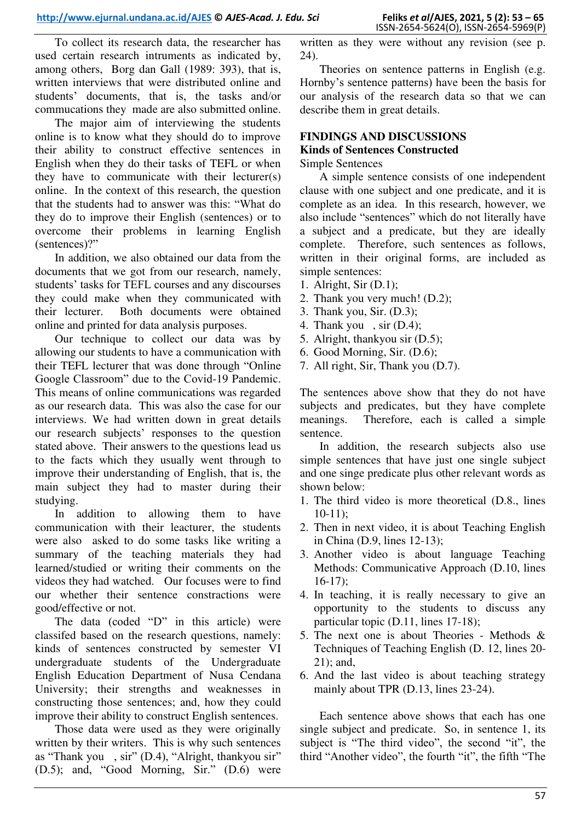To collect its research data, the researcher has used certain research intruments as indicated by, among others, Borg dan Gall (1989: 393), that is, written interviews that were distributed online and students' documents, that is, the tasks and/or commucations they made are also submitted online.

The major aim of interviewing the students online is to know what they should do to improve their ability to construct effective sentences in English when they do their tasks of TEFL or when they have to communicate with their lecturer(s) online. In the context of this research, the question that the students had to answer was this: "What do they do to improve their English (sentences) or to overcome their problems in learning English (sentences)?"

In addition, we also obtained our data from the documents that we got from our research, namely, students' tasks for TEFL courses and any discourses they could make when they communicated with their lecturer. Both documents were obtained online and printed for data analysis purposes.

Our technique to collect our data was by allowing our students to have a communication with their TEFL lecturer that was done through "Online Google Classroom" due to the Covid-19 Pandemic. This means of online communications was regarded as our research data. This was also the case for our interviews. We had written down in great details our research subjects' responses to the question stated above. Their answers to the questions lead us to the facts which they usually went through to improve their understanding of English, that is, the main subject they had to master during their studying.

In addition to allowing them to have communication with their leacturer, the students were also asked to do some tasks like writing a summary of the teaching materials they had learned/studied or writing their comments on the videos they had watched. Our focuses were to find our whether their sentence constractions were good/effective or not.

The data (coded "D" in this article) were classifed based on the research questions, namely: kinds of sentences constructed by semester VI undergraduate students of the Undergraduate English Education Department of Nusa Cendana University; their strengths and weaknesses in constructing those sentences; and, how they could improve their ability to construct English sentences.

Those data were used as they were originally written by their writers. This is why such sentences as "Thank you , sir" (D.4), "Alright, thankyou sir" (D.5); and, "Good Morning, Sir." (D.6) were written as they were without any revision (see p. 24).

Theories on sentence patterns in English (e.g. Hornby's sentence patterns) have been the basis for our analysis of the research data so that we can describe them in great details.

#### **FINDINGS AND DISCUSSIONS Kinds of Sentences Constructed**

# Simple Sentences

A simple sentence consists of one independent clause with one subject and one predicate, and it is complete as an idea. In this research, however, we also include "sentences" which do not literally have a subject and a predicate, but they are ideally complete. Therefore, such sentences as follows, written in their original forms, are included as simple sentences:

- 1. Alright, Sir (D.1);
- 2. Thank you very much! (D.2);
- 3. Thank you, Sir. (D.3);
- 4. Thank you , sir (D.4);
- 5. Alright, thankyou sir (D.5);
- 6. Good Morning, Sir. (D.6);
- 7. All right, Sir, Thank you (D.7).

The sentences above show that they do not have subjects and predicates, but they have complete meanings. Therefore, each is called a simple sentence.

In addition, the research subjects also use simple sentences that have just one single subject and one singe predicate plus other relevant words as shown below:

- 1. The third video is more theoretical (D.8., lines  $10-11$ :
- 2. Then in next video, it is about Teaching English in China (D.9, lines 12-13);
- 3. Another video is about language Teaching Methods: Communicative Approach (D.10, lines 16-17);
- 4. In teaching, it is really necessary to give an opportunity to the students to discuss any particular topic (D.11, lines 17-18);
- 5. The next one is about Theories Methods & Techniques of Teaching English (D. 12, lines 20- 21); and,
- 6. And the last video is about teaching strategy mainly about TPR (D.13, lines 23-24).

Each sentence above shows that each has one single subject and predicate. So, in sentence 1, its subject is "The third video", the second "it", the third "Another video", the fourth "it", the fifth "The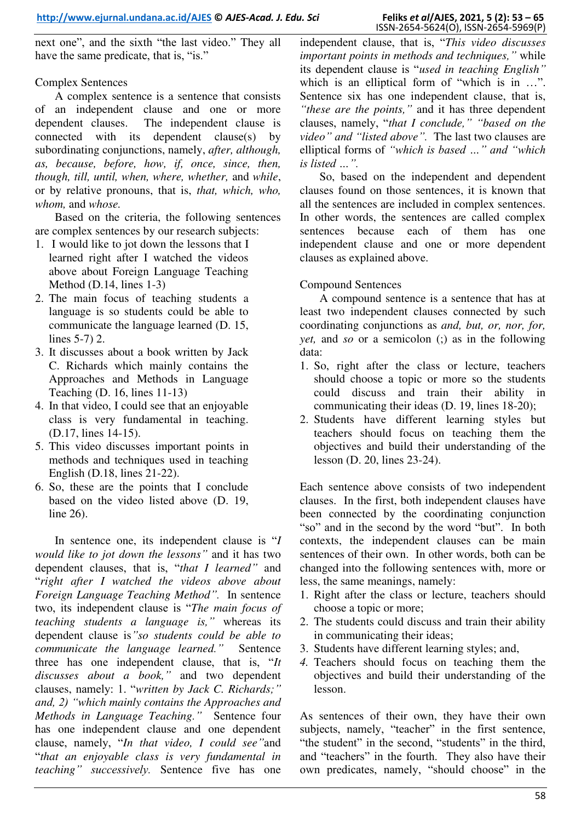next one", and the sixth "the last video." They all have the same predicate, that is, "is."

# Complex Sentences

A complex sentence is a sentence that consists of an independent clause and one or more dependent clauses. The independent clause is connected with its dependent clause(s) by subordinating conjunctions, namely, *after, although, as, because, before, how, if, once, since, then, though, till, until, when, where, whether,* and *while*, or by relative pronouns, that is, *that, which, who, whom,* and *whose.* 

Based on the criteria, the following sentences are complex sentences by our research subjects:

- 1. I would like to jot down the lessons that I learned right after I watched the videos above about Foreign Language Teaching Method (D.14, lines 1-3)
- 2. The main focus of teaching students a language is so students could be able to communicate the language learned (D. 15, lines 5-7) 2.
- 3. It discusses about a book written by Jack C. Richards which mainly contains the Approaches and Methods in Language Teaching (D. 16, lines 11-13)
- 4. In that video, I could see that an enjoyable class is very fundamental in teaching. (D.17, lines 14-15).
- 5. This video discusses important points in methods and techniques used in teaching English (D.18, lines 21-22).
- 6. So, these are the points that I conclude based on the video listed above (D. 19, line 26).

In sentence one, its independent clause is "*I would like to jot down the lessons"* and it has two dependent clauses, that is, "*that I learned"* and "*right after I watched the videos above about Foreign Language Teaching Method".* In sentence two, its independent clause is "*The main focus of teaching students a language is,"* whereas its dependent clause is*"so students could be able to communicate the language learned."* Sentence three has one independent clause, that is, "*It discusses about a book,"* and two dependent clauses, namely: 1. "*written by Jack C. Richards;" and, 2) "which mainly contains the Approaches and Methods in Language Teaching."* Sentence four has one independent clause and one dependent clause, namely, "*In that video, I could see"*and "*that an enjoyable class is very fundamental in teaching" successively.* Sentence five has one

independent clause, that is, "*This video discusses important points in methods and techniques,"* while its dependent clause is "*used in teaching English"*  which is an elliptical form of "which is in ...". Sentence six has one independent clause, that is, *"these are the points,"* and it has three dependent clauses, namely, "*that I conclude," "based on the video" and "listed above".* The last two clauses are elliptical forms of *"which is based …" and "which is listed …".*

So, based on the independent and dependent clauses found on those sentences, it is known that all the sentences are included in complex sentences. In other words, the sentences are called complex sentences because each of them has one independent clause and one or more dependent clauses as explained above.

### Compound Sentences

A compound sentence is a sentence that has at least two independent clauses connected by such coordinating conjunctions as *and, but, or, nor, for, yet,* and *so* or a semicolon (;) as in the following data:

- 1. So, right after the class or lecture, teachers should choose a topic or more so the students could discuss and train their ability in communicating their ideas (D. 19, lines 18-20);
- 2. Students have different learning styles but teachers should focus on teaching them the objectives and build their understanding of the lesson (D. 20, lines 23-24).

Each sentence above consists of two independent clauses. In the first, both independent clauses have been connected by the coordinating conjunction "so" and in the second by the word "but". In both contexts, the independent clauses can be main sentences of their own. In other words, both can be changed into the following sentences with, more or less, the same meanings, namely:

- 1. Right after the class or lecture, teachers should choose a topic or more;
- 2. The students could discuss and train their ability in communicating their ideas;
- 3. Students have different learning styles; and,
- *4.* Teachers should focus on teaching them the objectives and build their understanding of the lesson.

As sentences of their own, they have their own subjects, namely, "teacher" in the first sentence, "the student" in the second, "students" in the third, and "teachers" in the fourth. They also have their own predicates, namely, "should choose" in the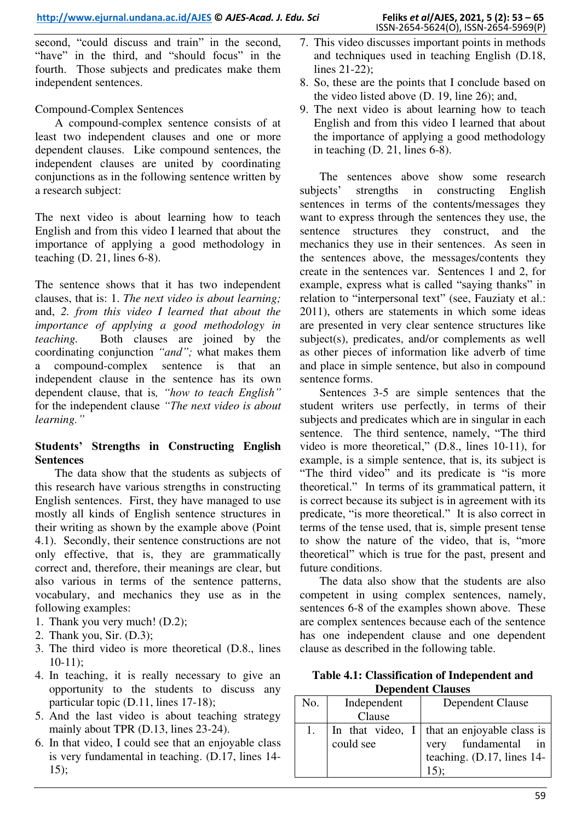second, "could discuss and train" in the second, "have" in the third, and "should focus" in the fourth. Those subjects and predicates make them independent sentences.

### Compound-Complex Sentences

A compound-complex sentence consists of at least two independent clauses and one or more dependent clauses. Like compound sentences, the independent clauses are united by coordinating conjunctions as in the following sentence written by a research subject:

The next video is about learning how to teach English and from this video I learned that about the importance of applying a good methodology in teaching (D. 21, lines 6-8).

The sentence shows that it has two independent clauses, that is: 1. *The next video is about learning;*  and, *2. from this video I learned that about the importance of applying a good methodology in teaching.* Both clauses are joined by the coordinating conjunction *"and";* what makes them a compound-complex sentence is that an independent clause in the sentence has its own dependent clause, that is*, "how to teach English"*  for the independent clause *"The next video is about learning."*

# **Students' Strengths in Constructing English Sentences**

The data show that the students as subjects of this research have various strengths in constructing English sentences. First, they have managed to use mostly all kinds of English sentence structures in their writing as shown by the example above (Point 4.1). Secondly, their sentence constructions are not only effective, that is, they are grammatically correct and, therefore, their meanings are clear, but also various in terms of the sentence patterns, vocabulary, and mechanics they use as in the following examples:

- 1. Thank you very much! (D.2);
- 2. Thank you, Sir. (D.3);
- 3. The third video is more theoretical (D.8., lines 10-11);
- 4. In teaching, it is really necessary to give an opportunity to the students to discuss any particular topic (D.11, lines 17-18);
- 5. And the last video is about teaching strategy mainly about TPR (D.13, lines 23-24).
- 6. In that video, I could see that an enjoyable class is very fundamental in teaching. (D.17, lines 14- 15);
- 7. This video discusses important points in methods and techniques used in teaching English (D.18, lines 21-22);
- 8. So, these are the points that I conclude based on the video listed above (D. 19, line 26); and,
- 9. The next video is about learning how to teach English and from this video I learned that about the importance of applying a good methodology in teaching (D. 21, lines 6-8).

The sentences above show some research subjects' strengths in constructing English sentences in terms of the contents/messages they want to express through the sentences they use, the sentence structures they construct, and the mechanics they use in their sentences. As seen in the sentences above, the messages/contents they create in the sentences var. Sentences 1 and 2, for example, express what is called "saying thanks" in relation to "interpersonal text" (see, Fauziaty et al.: 2011), others are statements in which some ideas are presented in very clear sentence structures like subject(s), predicates, and/or complements as well as other pieces of information like adverb of time and place in simple sentence, but also in compound sentence forms.

Sentences 3-5 are simple sentences that the student writers use perfectly, in terms of their subjects and predicates which are in singular in each sentence. The third sentence, namely, "The third video is more theoretical," (D.8., lines 10-11), for example, is a simple sentence, that is, its subject is "The third video" and its predicate is "is more theoretical." In terms of its grammatical pattern, it is correct because its subject is in agreement with its predicate, "is more theoretical." It is also correct in terms of the tense used, that is, simple present tense to show the nature of the video, that is, "more theoretical" which is true for the past, present and future conditions.

The data also show that the students are also competent in using complex sentences, namely, sentences 6-8 of the examples shown above. These are complex sentences because each of the sentence has one independent clause and one dependent clause as described in the following table.

**Table 4.1: Classification of Independent and Dependent Clauses** 

| No. | Independent | Dependent Clause                                                                                        |  |
|-----|-------------|---------------------------------------------------------------------------------------------------------|--|
|     | Clause      |                                                                                                         |  |
|     | could see   | In that video, $I \mid$ that an enjoyable class is<br>very fundamental in<br>teaching. (D.17, lines 14- |  |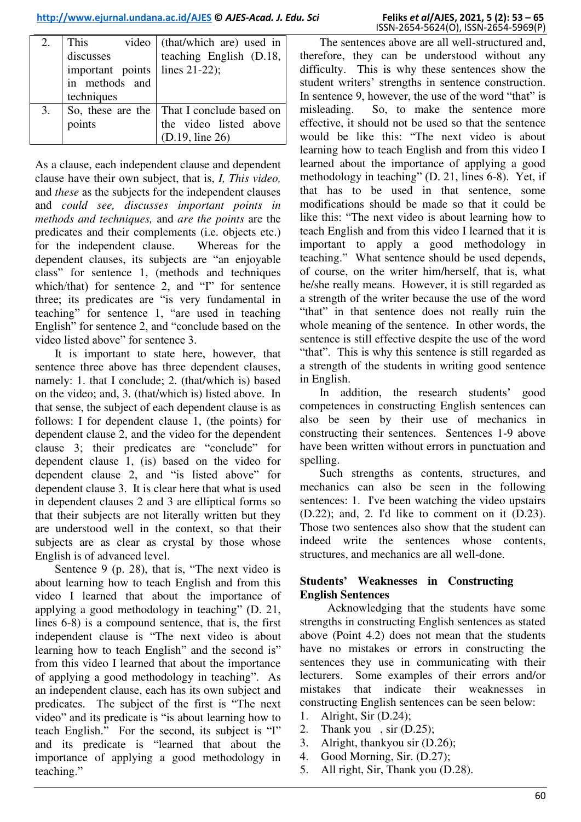| 2. | This                               | video (that/which are) used in               |
|----|------------------------------------|----------------------------------------------|
|    | discusses                          | teaching English (D.18,                      |
|    | important points $ $ lines 21-22); |                                              |
|    | in methods and                     |                                              |
|    | techniques                         |                                              |
| 3. |                                    | So, these are the   That I conclude based on |
|    | points                             | the video listed above                       |
|    |                                    | (D.19, line 26)                              |

As a clause, each independent clause and dependent clause have their own subject, that is, *I, This video,* and *these* as the subjects for the independent clauses and *could see, discusses important points in methods and techniques,* and *are the points* are the predicates and their complements (i.e. objects etc.) for the independent clause. Whereas for the dependent clauses, its subjects are "an enjoyable class" for sentence 1, (methods and techniques which/that) for sentence 2, and "I" for sentence three; its predicates are "is very fundamental in teaching" for sentence 1, "are used in teaching English" for sentence 2, and "conclude based on the video listed above" for sentence 3.

It is important to state here, however, that sentence three above has three dependent clauses, namely: 1. that I conclude; 2. (that/which is) based on the video; and, 3. (that/which is) listed above. In that sense, the subject of each dependent clause is as follows: I for dependent clause 1, (the points) for dependent clause 2, and the video for the dependent clause 3; their predicates are "conclude" for dependent clause 1, (is) based on the video for dependent clause 2, and "is listed above" for dependent clause 3. It is clear here that what is used in dependent clauses 2 and 3 are elliptical forms so that their subjects are not literally written but they are understood well in the context, so that their subjects are as clear as crystal by those whose English is of advanced level.

Sentence 9 (p. 28), that is, "The next video is about learning how to teach English and from this video I learned that about the importance of applying a good methodology in teaching" (D. 21, lines 6-8) is a compound sentence, that is, the first independent clause is "The next video is about learning how to teach English" and the second is" from this video I learned that about the importance of applying a good methodology in teaching". As an independent clause, each has its own subject and predicates. The subject of the first is "The next video" and its predicate is "is about learning how to teach English." For the second, its subject is "I" and its predicate is "learned that about the importance of applying a good methodology in teaching."

The sentences above are all well-structured and, therefore, they can be understood without any difficulty. This is why these sentences show the student writers' strengths in sentence construction. In sentence 9, however, the use of the word "that" is misleading. So, to make the sentence more effective, it should not be used so that the sentence would be like this: "The next video is about learning how to teach English and from this video I learned about the importance of applying a good methodology in teaching" (D. 21, lines 6-8). Yet, if that has to be used in that sentence, some modifications should be made so that it could be like this: "The next video is about learning how to teach English and from this video I learned that it is important to apply a good methodology in teaching." What sentence should be used depends, of course, on the writer him/herself, that is, what he/she really means. However, it is still regarded as a strength of the writer because the use of the word "that" in that sentence does not really ruin the whole meaning of the sentence. In other words, the sentence is still effective despite the use of the word "that". This is why this sentence is still regarded as a strength of the students in writing good sentence in English.

In addition, the research students' good competences in constructing English sentences can also be seen by their use of mechanics in constructing their sentences. Sentences 1-9 above have been written without errors in punctuation and spelling.

Such strengths as contents, structures, and mechanics can also be seen in the following sentences: 1. I've been watching the video upstairs (D.22); and, 2. I'd like to comment on it (D.23). Those two sentences also show that the student can indeed write the sentences whose contents, structures, and mechanics are all well-done.

# **Students' Weaknesses in Constructing English Sentences**

Acknowledging that the students have some strengths in constructing English sentences as stated above (Point 4.2) does not mean that the students have no mistakes or errors in constructing the sentences they use in communicating with their lecturers. Some examples of their errors and/or mistakes that indicate their weaknesses in constructing English sentences can be seen below:

- 1. Alright, Sir (D.24);
- 2. Thank you , sir (D.25);
- 3. Alright, thankyou sir (D.26);
- 4. Good Morning, Sir. (D.27);
- 5. All right, Sir, Thank you (D.28).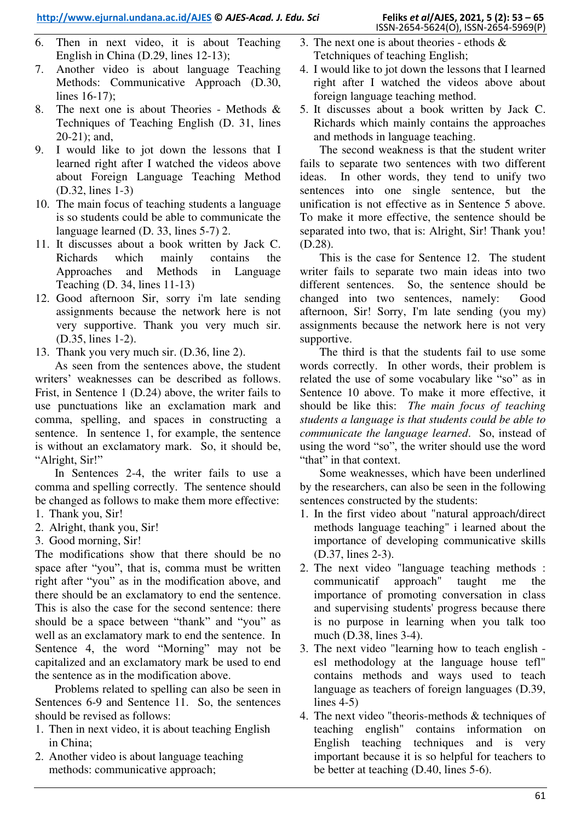- 6. Then in next video, it is about Teaching English in China (D.29, lines 12-13);
- 7. Another video is about language Teaching Methods: Communicative Approach (D.30, lines 16-17);
- 8. The next one is about Theories Methods & Techniques of Teaching English (D. 31, lines 20-21); and,
- 9. I would like to jot down the lessons that I learned right after I watched the videos above about Foreign Language Teaching Method (D.32, lines 1-3)
- 10. The main focus of teaching students a language is so students could be able to communicate the language learned (D. 33, lines 5-7) 2.
- 11. It discusses about a book written by Jack C. Richards which mainly contains the Approaches and Methods in Language Teaching (D. 34, lines 11-13)
- 12. Good afternoon Sir, sorry i'm late sending assignments because the network here is not very supportive. Thank you very much sir. (D.35, lines 1-2).
- 13. Thank you very much sir. (D.36, line 2).

As seen from the sentences above, the student writers' weaknesses can be described as follows. Frist, in Sentence 1 (D.24) above, the writer fails to use punctuations like an exclamation mark and comma, spelling, and spaces in constructing a sentence. In sentence 1, for example, the sentence is without an exclamatory mark. So, it should be, "Alright, Sir!"

In Sentences 2-4, the writer fails to use a comma and spelling correctly. The sentence should be changed as follows to make them more effective: 1. Thank you, Sir!

- 2. Alright, thank you, Sir!
- 3. Good morning, Sir!

The modifications show that there should be no space after "you", that is, comma must be written right after "you" as in the modification above, and there should be an exclamatory to end the sentence. This is also the case for the second sentence: there should be a space between "thank" and "you" as well as an exclamatory mark to end the sentence. In Sentence 4, the word "Morning" may not be capitalized and an exclamatory mark be used to end the sentence as in the modification above.

Problems related to spelling can also be seen in Sentences 6-9 and Sentence 11. So, the sentences should be revised as follows:

- 1. Then in next video, it is about teaching English in China;
- 2. Another video is about language teaching methods: communicative approach;
- 3. The next one is about theories ethods & Tetchniques of teaching English:
- 4. I would like to jot down the lessons that I learned right after I watched the videos above about foreign language teaching method.
- 5. It discusses about a book written by Jack C. Richards which mainly contains the approaches and methods in language teaching.

The second weakness is that the student writer fails to separate two sentences with two different ideas. In other words, they tend to unify two sentences into one single sentence, but the unification is not effective as in Sentence 5 above. To make it more effective, the sentence should be separated into two, that is: Alright, Sir! Thank you! (D.28).

This is the case for Sentence 12. The student writer fails to separate two main ideas into two different sentences. So, the sentence should be changed into two sentences, namely: Good afternoon, Sir! Sorry, I'm late sending (you my) assignments because the network here is not very supportive.

The third is that the students fail to use some words correctly. In other words, their problem is related the use of some vocabulary like "so" as in Sentence 10 above. To make it more effective, it should be like this: *The main focus of teaching students a language is that students could be able to communicate the language learned*. So, instead of using the word "so", the writer should use the word "that" in that context.

Some weaknesses, which have been underlined by the researchers, can also be seen in the following sentences constructed by the students:

- 1. In the first video about "natural approach/direct methods language teaching" i learned about the importance of developing communicative skills (D.37, lines 2-3).
- 2. The next video "language teaching methods : communicatif approach" taught me the importance of promoting conversation in class and supervising students' progress because there is no purpose in learning when you talk too much (D.38, lines 3-4).
- 3. The next video "learning how to teach english esl methodology at the language house tefl" contains methods and ways used to teach language as teachers of foreign languages (D.39, lines 4-5)
- 4. The next video "theoris-methods & techniques of teaching english" contains information on English teaching techniques and is very important because it is so helpful for teachers to be better at teaching (D.40, lines 5-6).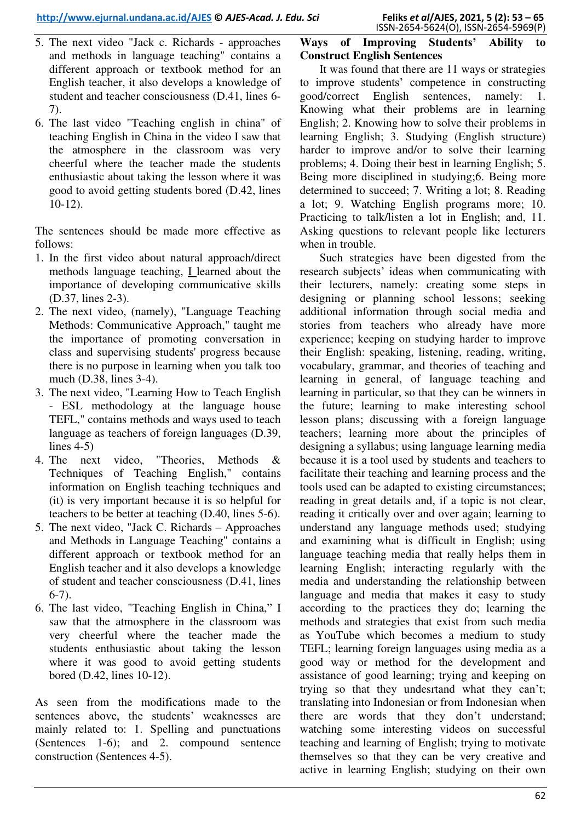- 5. The next video "Jack c. Richards approaches and methods in language teaching" contains a different approach or textbook method for an English teacher, it also develops a knowledge of student and teacher consciousness (D.41, lines 6- 7).
- 6. The last video "Teaching english in china" of teaching English in China in the video I saw that the atmosphere in the classroom was very cheerful where the teacher made the students enthusiastic about taking the lesson where it was good to avoid getting students bored (D.42, lines 10-12).

The sentences should be made more effective as follows:

- 1. In the first video about natural approach/direct methods language teaching, I learned about the importance of developing communicative skills (D.37, lines 2-3).
- 2. The next video, (namely), "Language Teaching Methods: Communicative Approach," taught me the importance of promoting conversation in class and supervising students' progress because there is no purpose in learning when you talk too much (D.38, lines 3-4).
- 3. The next video, "Learning How to Teach English - ESL methodology at the language house TEFL," contains methods and ways used to teach language as teachers of foreign languages (D.39, lines  $4-5$ )
- 4. The next video, "Theories, Methods & Techniques of Teaching English," contains information on English teaching techniques and (it) is very important because it is so helpful for teachers to be better at teaching (D.40, lines 5-6).
- 5. The next video, "Jack C. Richards Approaches and Methods in Language Teaching" contains a different approach or textbook method for an English teacher and it also develops a knowledge of student and teacher consciousness (D.41, lines 6-7).
- 6. The last video, "Teaching English in China," I saw that the atmosphere in the classroom was very cheerful where the teacher made the students enthusiastic about taking the lesson where it was good to avoid getting students bored (D.42, lines 10-12).

As seen from the modifications made to the sentences above, the students' weaknesses are mainly related to: 1. Spelling and punctuations (Sentences 1-6); and 2. compound sentence construction (Sentences 4-5).

# **Ways of Improving Students' Ability to Construct English Sentences**

It was found that there are 11 ways or strategies to improve students' competence in constructing good/correct English sentences, namely: 1. Knowing what their problems are in learning English; 2. Knowing how to solve their problems in learning English; 3. Studying (English structure) harder to improve and/or to solve their learning problems; 4. Doing their best in learning English; 5. Being more disciplined in studying;6. Being more determined to succeed; 7. Writing a lot; 8. Reading a lot; 9. Watching English programs more; 10. Practicing to talk/listen a lot in English; and, 11. Asking questions to relevant people like lecturers when in trouble.

Such strategies have been digested from the research subjects' ideas when communicating with their lecturers, namely: creating some steps in designing or planning school lessons; seeking additional information through social media and stories from teachers who already have more experience; keeping on studying harder to improve their English: speaking, listening, reading, writing, vocabulary, grammar, and theories of teaching and learning in general, of language teaching and learning in particular, so that they can be winners in the future; learning to make interesting school lesson plans; discussing with a foreign language teachers; learning more about the principles of designing a syllabus; using language learning media because it is a tool used by students and teachers to facilitate their teaching and learning process and the tools used can be adapted to existing circumstances; reading in great details and, if a topic is not clear, reading it critically over and over again; learning to understand any language methods used; studying and examining what is difficult in English; using language teaching media that really helps them in learning English; interacting regularly with the media and understanding the relationship between language and media that makes it easy to study according to the practices they do; learning the methods and strategies that exist from such media as YouTube which becomes a medium to study TEFL; learning foreign languages using media as a good way or method for the development and assistance of good learning; trying and keeping on trying so that they undesrtand what they can't; translating into Indonesian or from Indonesian when there are words that they don't understand; watching some interesting videos on successful teaching and learning of English; trying to motivate themselves so that they can be very creative and active in learning English; studying on their own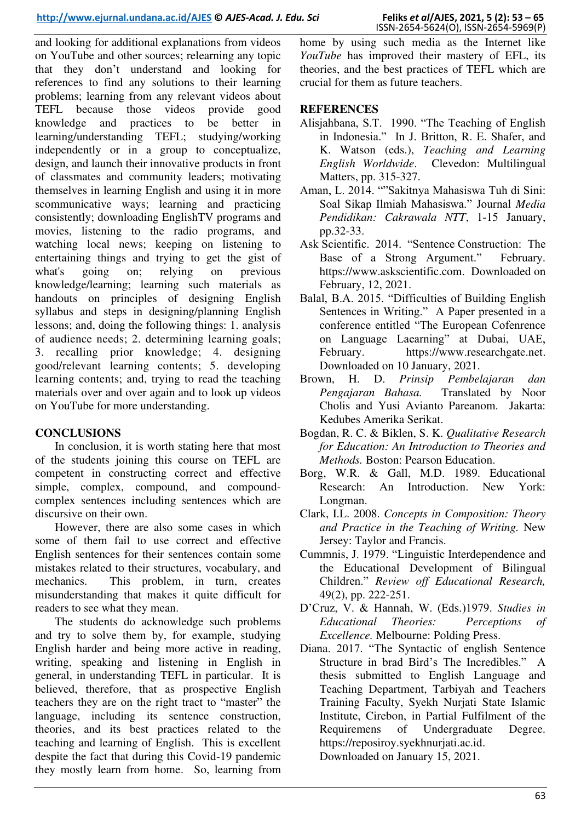and looking for additional explanations from videos on YouTube and other sources; relearning any topic that they don't understand and looking for references to find any solutions to their learning problems; learning from any relevant videos about TEFL because those videos provide good knowledge and practices to be better in learning/understanding TEFL; studying/working independently or in a group to conceptualize, design, and launch their innovative products in front of classmates and community leaders; motivating themselves in learning English and using it in more scommunicative ways; learning and practicing consistently; downloading EnglishTV programs and movies, listening to the radio programs, and watching local news; keeping on listening to entertaining things and trying to get the gist of what's going on; relying on previous knowledge/learning; learning such materials as handouts on principles of designing English syllabus and steps in designing/planning English lessons; and, doing the following things: 1. analysis of audience needs; 2. determining learning goals; 3. recalling prior knowledge; 4. designing good/relevant learning contents; 5. developing learning contents; and, trying to read the teaching materials over and over again and to look up videos on YouTube for more understanding.

# **CONCLUSIONS**

In conclusion, it is worth stating here that most of the students joining this course on TEFL are competent in constructing correct and effective simple, complex, compound, and compoundcomplex sentences including sentences which are discursive on their own.

However, there are also some cases in which some of them fail to use correct and effective English sentences for their sentences contain some mistakes related to their structures, vocabulary, and mechanics. This problem, in turn, creates misunderstanding that makes it quite difficult for readers to see what they mean.

The students do acknowledge such problems and try to solve them by, for example, studying English harder and being more active in reading, writing, speaking and listening in English in general, in understanding TEFL in particular. It is believed, therefore, that as prospective English teachers they are on the right tract to "master" the language, including its sentence construction, theories, and its best practices related to the teaching and learning of English. This is excellent despite the fact that during this Covid-19 pandemic they mostly learn from home. So, learning from

home by using such media as the Internet like *YouTube* has improved their mastery of EFL, its theories, and the best practices of TEFL which are crucial for them as future teachers.

### **REFERENCES**

- Alisjahbana, S.T. 1990. "The Teaching of English in Indonesia." In J. Britton, R. E. Shafer, and K. Watson (eds.), *Teaching and Learning English Worldwide*. Clevedon: Multilingual Matters, pp. 315-327.
- Aman, L. 2014. ""Sakitnya Mahasiswa Tuh di Sini: Soal Sikap Ilmiah Mahasiswa." Journal *Media Pendidikan: Cakrawala NTT*, 1-15 January, pp.32-33.
- Ask Scientific. 2014. "Sentence Construction: The Base of a Strong Argument." February. [https://www.askscientific.com](https://www.askscientific.con/). Downloaded on February, 12, 2021.
- Balal, B.A. 2015. "Difficulties of Building English Sentences in Writing." A Paper presented in a conference entitled "The European Cofenrence on Language Laearning" at Dubai, UAE, February. [https://www.researchgate.net.](https://www.researchgate.net/) Downloaded on 10 January, 2021.
- Brown, H. D. *Prinsip Pembelajaran dan Pengajaran Bahasa.* Translated by Noor Cholis and Yusi Avianto Pareanom. Jakarta: Kedubes Amerika Serikat.
- Bogdan, R. C. & Biklen, S. K. *Qualitative Research for Education: An Introduction to Theories and Methods.* Boston: Pearson Education.
- Borg, W.R. & Gall, M.D. 1989. Educational Research: An Introduction. New York: Longman.
- Clark, I.L. 2008. *Concepts in Composition: Theory and Practice in the Teaching of Writing.* New Jersey: Taylor and Francis.
- Cummnis, J. 1979. "Linguistic Interdependence and the Educational Development of Bilingual Children." *Review off Educational Research,* 49(2), pp. 222-251.
- D'Cruz, V. & Hannah, W. (Eds.)1979. *Studies in Educational Theories: Perceptions of Excellence.* Melbourne: Polding Press.
- Diana. 2017. "The Syntactic of english Sentence Structure in brad Bird's The Incredibles." A thesis submitted to English Language and Teaching Department, Tarbiyah and Teachers Training Faculty, Syekh Nurjati State Islamic Institute, Cirebon, in Partial Fulfilment of the Requiremens of Undergraduate Degree. [https://reposiroy.syekhnurjati.ac.id.](https://reposiroy.syekhnurjati.ac.id/)

Downloaded on January 15, 2021.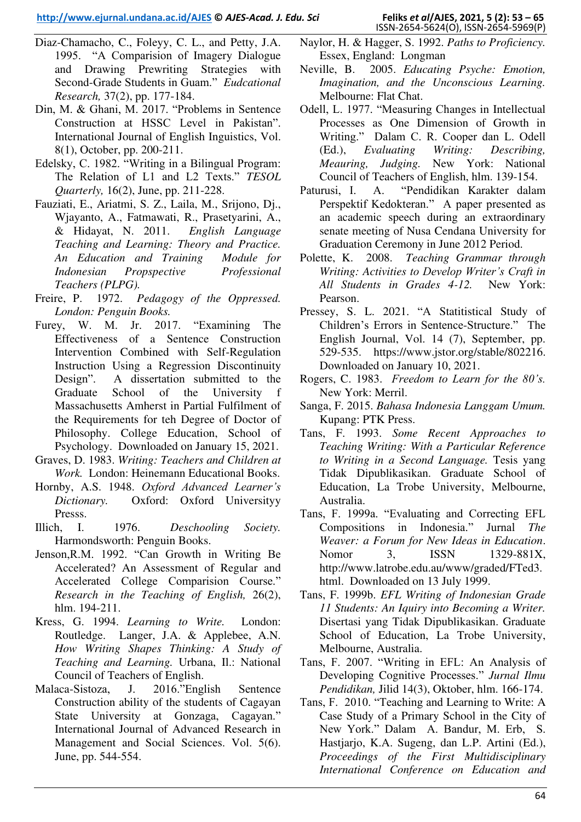- Diaz-Chamacho, C., Foleyy, C. L., and Petty, J.A. 1995. "A Comparision of Imagery Dialogue and Drawing Prewriting Strategies with Second-Grade Students in Guam." *Eudcational Research,* 37(2), pp. 177-184.
- Din, M. & Ghani, M. 2017. "Problems in Sentence Construction at HSSC Level in Pakistan". International Journal of English Inguistics, Vol. 8(1), October, pp. 200-211.
- Edelsky, C. 1982. "Writing in a Bilingual Program: The Relation of L1 and L2 Texts." *TESOL Quarterly,* 16(2), June, pp. 211-228.
- Fauziati, E., Ariatmi, S. Z., Laila, M., Srijono, Dj., Wjayanto, A., Fatmawati, R., Prasetyarini, A., & Hidayat, N. 2011. *English Language Teaching and Learning: Theory and Practice. An Education and Training Module for Indonesian Propspective Professional Teachers (PLPG).*
- Freire, P. 1972. *Pedagogy of the Oppressed. London: Penguin Books.*
- Furey, W. M. Jr. 2017. "Examining The Effectiveness of a Sentence Construction Intervention Combined with Self-Regulation Instruction Using a Regression Discontinuity Design". A dissertation submitted to the Graduate School of the University f Massachusetts Amherst in Partial Fulfilment of the Requirements for teh Degree of Doctor of Philosophy. College Education, School of Psychology. Downloaded on January 15, 2021.
- Graves, D. 1983. *Writing: Teachers and Children at Work.* London: Heinemann Educational Books.
- Hornby, A.S. 1948. *Oxford Advanced Learner's Dictionary.* Oxford: Oxford Universityy Presss.
- Illich, I. 1976. *Deschooling Society.*  Harmondsworth: Penguin Books.
- Jenson,R.M. 1992. "Can Growth in Writing Be Accelerated? An Assessment of Regular and Accelerated College Comparision Course." *Research in the Teaching of English,* 26(2), hlm. 194-211.
- Kress, G. 1994. *Learning to Write.* London: Routledge. Langer, J.A. & Applebee, A.N. *How Writing Shapes Thinking: A Study of Teaching and Learning.* Urbana, Il.: National Council of Teachers of English.
- Malaca-Sistoza, J. 2016."English Sentence Construction ability of the students of Cagayan State University at Gonzaga, Cagayan." International Journal of Advanced Research in Management and Social Sciences. Vol. 5(6). June, pp. 544-554.
- Naylor, H. & Hagger, S. 1992. *Paths to Proficiency.*  Essex, England: Longman
- Neville, B. 2005. *Educating Psyche: Emotion, Imagination, and the Unconscious Learning.*  Melbourne: Flat Chat.
- Odell, L. 1977. "Measuring Changes in Intellectual Processes as One Dimension of Growth in Writing." Dalam C. R. Cooper dan L. Odell (Ed.), *Evaluating Writing: Describing, Meauring, Judging.* New York: National Council of Teachers of English, hlm. 139-154.
- Paturusi, I. A. "Pendidikan Karakter dalam Perspektif Kedokteran." A paper presented as an academic speech during an extraordinary senate meeting of Nusa Cendana University for Graduation Ceremony in June 2012 Period.
- Polette, K. 2008. *Teaching Grammar through Writing: Activities to Develop Writer's Craft in All Students in Grades 4-12.* New York: Pearson.
- Pressey, S. L. 2021. "A Statitistical Study of Children's Errors in Sentence-Structure." The English Journal, Vol. 14 (7), September, pp. 529-535. [https://www.jstor.org/stable/802216.](https://www.jstor.org/stable/802216) Downloaded on January 10, 2021.
- Rogers, C. 1983. *Freedom to Learn for the 80's.*  New York: Merril.
- Sanga, F. 2015. *Bahasa Indonesia Langgam Umum.*  Kupang: PTK Press.
- Tans, F. 1993. *Some Recent Approaches to Teaching Writing: With a Particular Reference to Writing in a Second Language.* Tesis yang Tidak Dipublikasikan. Graduate School of Education, La Trobe University, Melbourne, Australia.
- Tans, F. 1999a. "Evaluating and Correcting EFL Compositions in Indonesia." Jurnal *The Weaver: a Forum for New Ideas in Education*. Nomor 3, ISSN 1329-881X, [http://www.latrobe.edu.au/www/graded/FTed3.](http://www.latrobe.edu.au/www/graded/FTed3.html) [html.](http://www.latrobe.edu.au/www/graded/FTed3.html) Downloaded on 13 July 1999.
- Tans, F. 1999b. *EFL Writing of Indonesian Grade 11 Students: An Iquiry into Becoming a Writer.* Disertasi yang Tidak Dipublikasikan. Graduate School of Education, La Trobe University, Melbourne, Australia.
- Tans, F. 2007. "Writing in EFL: An Analysis of Developing Cognitive Processes." *Jurnal Ilmu Pendidikan,* Jilid 14(3), Oktober, hlm. 166-174.
- Tans, F. 2010. "Teaching and Learning to Write: A Case Study of a Primary School in the City of New York." Dalam A. Bandur, M. Erb, S. Hastjarjo, K.A. Sugeng, dan L.P. Artini (Ed.), *Proceedings of the First Multidisciplinary International Conference on Education and*